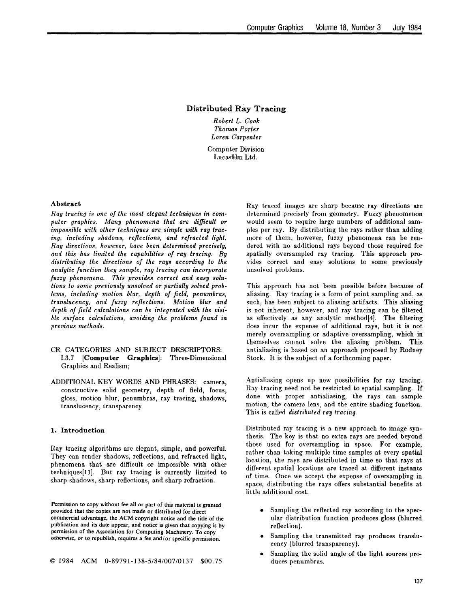**Distributed Ray Tracing** 

*Robert L. Cook Thomas Porter Loren Carpenter* 

Computer Division Lucasfilm Ltd.

#### **Abstract**

*Ray tracing is one of the most elegant techniques in computer graphics. Many phenomena that are difficult or impossible with other techniques are simple with ray tracing, including shadows, reflections, and refracted light. Ray directions, however, have been determined precisely, and this has limited the capabilities of ray tracing. By distributing the directions of the rays according to the analytic function they sample, ray tracing can incorporate fuzzy phenomena. This provides correct and easy solutions to some previously unsolved or partially solved problems, including motion blur, depth of field, penumbras, translucency, and fuzzy reflections. Motion blur and depth of field calculations can be integrated with the visible surface calculations, avoiding the problems found in previous methods.* 

- CR CATEGORIES AND SUBJECT DESCRIPTORS: 1.3.7 [Computer Graphics]: Three-Dimensional Graphics and Realism;
- ADDITIONAL KEY WORDS AND PHRASES: camera, constructive solid geometry, depth of field, focus, gloss, motion blur, penumbras, ray tracing, shadows, translucency, transparency

#### **1. Introduction**

Ray tracing algorithms are elegant, simple, and powerful. They can render shadows, reflections, and refracted light, phenomena that are difficult or impossible with other techniques[Ill. But ray tracing is currently limited to sharp shadows, sharp reflections, and sharp refraction.

Permission to copy without fee all or part of this material is granted **provided** that the copies are not made or distributed for direct commercial advantage, the ACM copyright notice and the title of the publication and its date appear, and notice is given that copying is by permission of the Association for Computing Machinery. To copy otherwise, or to republish, requires a fee and/or specific permission.

© 1984 ACM 0-89791-138-5/84/007/0137 \$00.75

Ray traced images are sharp because ray directions are determined precisely from geometry. Fuzzy phenomenon would seem to require large numbers of additional samples per ray. By distributing the rays rather than adding more of them, however, fuzzy phenomena can be rendered with no additional rays beyond those required for spatially oversampled ray tracing. This approach provides correct and easy solutions to some previously unsolved problems.

This approach has not been possible before because of aliasing. Ray tracing is a form of point sampling and, as such, has been subject to aliasing artifacts. This aliasing is not inherent, however, and ray tracing can be filtered as effectively as any analytic method[4]. The filtering does incur the expense of additional rays, but it is not merely oversampling or adaptive oversampling, which in themselves cannot solve the aliasing problem. This antialiasing is based on an approach proposed by Rodney Stock. It is the subject of a forthcoming paper.

Antialiasing opens up new possibilities for ray tracing. Ray tracing need not be restricted to spatial sampling. If done with proper antialiasing, the rays can sample motion, the camera lens, and the entire shading function. This is called *distributed ray tracing.* 

Distributed ray tracing is a new approach to image synthesis. The key is that no extra rays are needed beyond those used for oversampling in space. For example, rather than taking multiple time samples at every spatial location, the rays are distributed in time so that rays at different spatial locations are traced at different instants of time. Once we accept the expense of oversampling in space, distributing the rays offers substantial benefits at little additional cost.

- Sampling the reflected ray according to the specular distribution function produces gloss (blurred reflection).
- Sampling the transmitted ray produces translucency (blurred transparency).
- Sampling the solid angle of the light sources produces penumbras.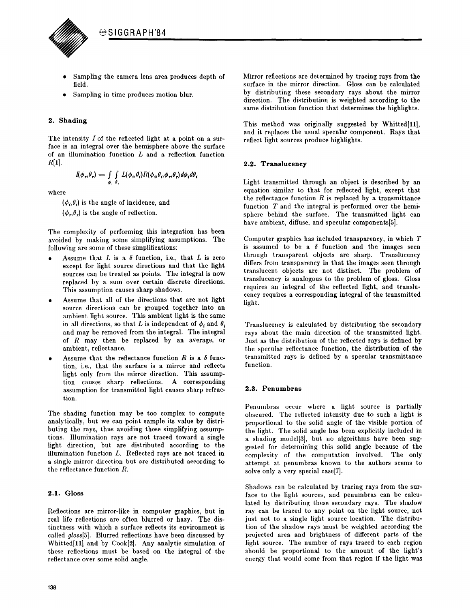

- Sampling the camera lens area produces depth of field.
- Sampling in time produces motion blur.

## 2. Shading

The intensity  $I$  of the reflected light at a point on a surface is an integral over the hemisphere above the surface of an illumination function L and a reflection function  $R[1]$ .

$$
I(\phi_r, \theta_r) = \int\limits_{\phi_r} \int\limits_{\theta_r} L(\phi_i, \theta_i) R(\phi_i, \theta_i, \phi_r, \theta_r) d\phi_i d\theta_i
$$

where

 $(\phi_i, \theta_i)$  is the angle of incidence, and  $(\phi_{-}, \theta_{-})$  is the angle of reflection.

The complexity of performing this integration has been avoided by making some simplifying assumptions. The following are some of these simplifications:

- Assume that  $L$  is a  $\delta$  function, i.e., that  $L$  is zero except for light source directions and that the light sources can be treated as points. The integral is now replaced by a sum over certain discrete directions. This assumption causes sharp shadows.
- Assume that all of the directions that are not light source directions can be grouped together into an ambient light source. This ambient light is the same in all directions, so that L is independent of  $\phi_i$  and  $\theta_i$ and may be removed from the integral. The integral of R may then be replaced by an average, or ambient, reflectance.
- Assume that the reflectance function  $R$  is a  $\delta$  function, i.e., that the surface is a mirror and reflects light only from the mirror direction. This assumption causes sharp reflections. A corresponding assumption for transmitted light causes sharp refraction.

The shading function may be too complex to compute analytically, but we can point sample its value by distributing the rays, thus avoiding these simplifying assumptions. Illumination rays are not traced toward a single light direction, but are distributed according to the illumination function L. Reflected rays are not traced in a single mirror direction but are distributed according to the reflectance function R.

## **2.1. Gloss**

Reflections are mirror-like in computer graphics, but in real life reflections are often blurred or hazy. The distinctness with which a surface reflects its environment is called *gloss[5].* Blurred reflections have been discussed by Whitted[ll] and by Cook[2]. Any analytic simulation of these reflections must be based on the integral of the reflectance over some solid angle.

Mirror reflections are determined by tracing rays from the surface in the mirror direction. Gloss can be calculated by distributing these secondary rays about the mirror direction. The distribution is weighted according to the same distribution function that determines the highlights.

This method was originally suggested by Whitted[11], and it replaces the usual specular component. Rays that reflect light sources produce highlights.

## **2.2. Translucency**

Light transmitted through an object is described by an equation similar to that for reflected light, except that the reflectance function  $R$  is replaced by a transmittance function T and the integral is performed over the hemisphere behind the surface. The transmitted light can have ambient, diffuse, and specular components[5].

Computer graphics has included transparency, in which T is assumed to be a  $\delta$  function and the images seen through transparent objects are sharp. Translucency differs from transparency in that the images seen through translucent objects are not distinct. The problem of translucency is analogous to the problem of gloss. Gloss requires an integral of the reflected light, and translucency requires a corresponding integral of the transmitted light.

Translucency is calculated by distributing the secondary rays about the main direction of the transmitted light. Just as the distribution of the reflected rays is defined by the specular reflectance function, the distribution of the transmitted rays is defined by a specular transmittance function.

## **2.3. Penumbras**

Penumbras occur where a light source is partially obscured. The reflected intensity due to such a light is proportional to the solid angle of the visible portion of the light. The solid angle has been explicitly included in a shading model[3], but no algorithms have been suggested for determining this solid angle because of the complexity of the computation involved. The only attempt at penumbras known to the authors seems to solve only a very special case[7].

Shadows can be calculated by tracing rays from the surface to the light sources, and penumbras can be calculated by distributing these secondary rays. The shadow ray can be traced to any point on the light source, not just not to a single light source location. The distribution of the shadow rays must be weighted according the projected area and brightness of different parts of the light source. The number of rays traced to each region should be proportional to the amount of the light's energy that would come from that region if the light was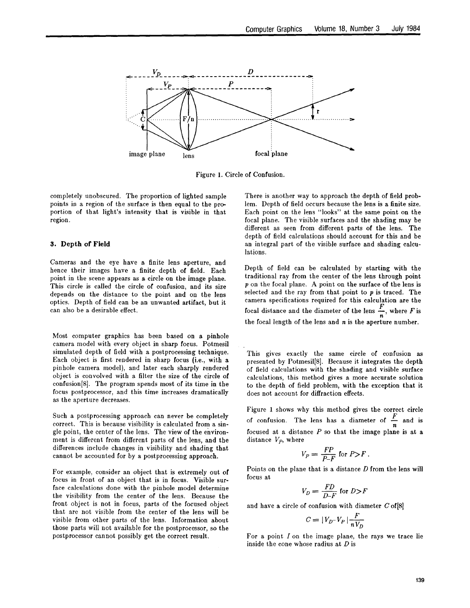

Figure 1. Circle of Confusion.

completely unobscured. The proportion of lighted sample points in a region of the surface is then equal to the proportion of that light's intensity that is visible in that region.

#### **3. Depth of Field**

Cameras and the eye have a finite lens aperture, and hence their images have a finite depth of field. Each point in the scene appears as a circle on the image plane. This circle is called the circle of confusion, and its size depends on the distance to the point and on the lens optics. Depth of field can be an unwanted artifact, but it can also be a desirable effect.

Most computer graphics has been based on a pinhole camera model with every object in sharp focus. Potmesil simulated depth of field with a postprocessing technique. Each object is first rendered in sharp focus (i.e., with a pinhole camera model), and later each sharply rendered object is convolved with a filter the size of the circle of confusion[8]. The program spends most of its time in the focus postprocessor, and this time increases dramatically as the aperture decreases.

Such a postprocessing approach can never be completely correct. This is because visibility is calculated from a single point, the center of the lens. The view of the environment is different from different parts of the lens, and the differences include changes in visibility and shading that cannot be accounted for by a postprocessing approach.

For example, consider an object that is extremely out of focus in front of an object that is in focus. Visible surface calculations done with the pinhole model determine the visibility from the center of the lens. Because the front object is not in focus, parts of the focused object that are not visible from the center of the lens will be visible from other parts of the lens. Information about those parts will not available for the postprocessor, so the postprocessor cannot possibly get the correct result.

There is another way to approach the depth of field problem. Depth of field occurs because the lens is a finite size. Each point on the lens "looks" at the same point on the focal plane. The visible surfaces and the shading may be different as seen from different parts of the lens. The depth of field calculations should account for this and be an integral part of the visible surface and shading calculations.

Depth of field can be calculated by starting with the traditional ray from the center of the lens through point p on the focal plane. A point on the surface of the lens is selected and the ray from that point to  $p$  is traced. The camera specifications required for this calculation are the focal distance and the diameter of the lens  $\frac{1}{n}$ , where F is the focal length of the lens and  $n$  is the aperture number.

This gives exactly the same circle of confusion as presented by Potmesil[8]. Because it integrates the depth of field calculations with the shading and visible surface calculations, this method gives a more accurate solution to the depth of field problem, with the exception that it does not account for diffraction effects.

Figure 1 shows why this method gives the correct circle of confusion. The lens has a diameter of  $\frac{1}{n}$  and is focused at a distance  $P$  so that the image plane is at a distance  $V_P$ , where

$$
V_P = \frac{FP}{P-F} \text{ for } P \triangleright F.
$$

Points on the plane that is a distance D from the lens will focus at

$$
V_D = \frac{FD}{D-F}
$$
 for  $D > F$ 

and have a circle of confusion with diameter C of[8]

$$
C = |V_{D^-}V_P|\frac{F}{nV_D}
$$

For a point  $I$  on the image plane, the rays we trace lie inside the cone whose radius at D is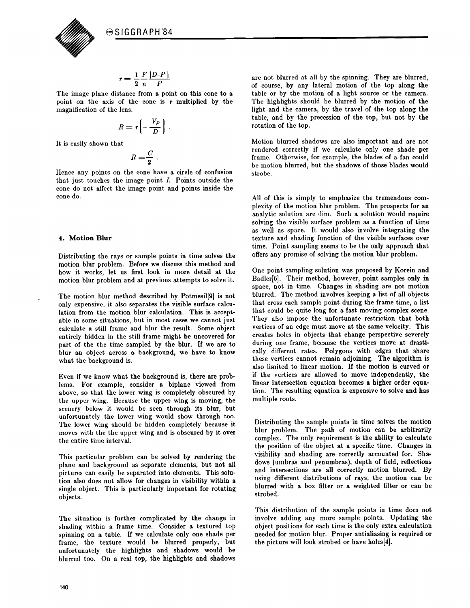

$$
r = \frac{1}{2} \frac{F}{n} \frac{|D - P|}{P}
$$

The image plane distance from a point on this cone to a point on the axis of the cone is  $r$  multiplied by the magnification of the lens.

$$
R=r\left(-\frac{V_P}{D}\right).
$$

It is easily shown that

$$
R=\frac{C}{2}.
$$

Hence any points on the cone have a circle of confusion that just touches the image point  $I$ . Points outside the cone do not affect the image point and points inside the cone do.

#### **4. Motion Blur**

Distributing the rays or sample points in time solves the motion blur problem. Before we discuss this method and how it works, let us first look in more detail at the motion blur problem and at previous attempts to solve it.

The motion blur method described by Potmesil[9] is not only expensive, it also separates the visible surface calculation from the motion blur calculation. This is acceptable in some situations, but in most cases we cannot just calculate a still frame and blur the result. Some object entirely hidden in the still frame might be uncovered for part of the the time sampled by the blur. If we are to blur an object across a background, we have to know what the background is.

Even if we know what the background is, there are problems. For example, consider a biplane viewed from above, so that the lower wing is completely obscured by the upper wing. Because the upper wing is moving, the scenery below it would be seen through its blur, but unfortunately the lower wing would show through too. The lower wing should be hidden completely because it moves with the the upper wing and is obscured by it over the entire time interval.

This particular problem can be solved by rendering the plane and background as separate elements, but not all pictures can easily be separated into elements. This solution also does not allow for changes in visibility within a single object. This is particularly important for rotating objects.

The situation is further complicated by the change in shading within a frame time. Consider a textured top spinning on a table. If we calculate only one shade per frame, the texture would be blurred properly, but unfortunately the highlights and shadows would be blurred too. On a real top, the highlights and shadows

are not blurred at all by the spinning. They are blurred, of course, by any lateral motion of the top along the table or by the motion of a light source or the camera. The highlights should be blurred by the motion of the light and the camera, by the travel of the top along the table, and by the precession of the top, but not by the rotation of the top.

Motion blurred shadows are also important and are not rendered correctly if we calculate only one shade per frame. Otherwise, for example, the blades of a fan could be motion blurred, but the shadows of those blades would strobe.

All of this is simply to emphasize the tremendous complexity of the motion blur problem. The prospects for an analytic solution are dim. Such a solution would require solving the visible surface problem as a function of time as well as space. It would also involve integrating the texture and shading function of the visible surfaces over time. Point sampling seems to be the only approach that offers any promise of solving the motion blur problem.

One point sampling solution was proposed by Korein and Badler[6]. Their method, however, point samples only in space, not in time. Changes in shading are not motion blurred. The method involves keeping a list of all objects that cross each sample point during the frame time, a list that could be quite long for a fast moving complex scene. They also impose the unfortunate restriction that both vertices of an edge must move at the same velocity. This creates holes in objects that change perspective severely during one frame, because the vertices move at drastically different rates. Polygons with edges that share these vertices cannot remain adjoining. The algorithm is also limited to linear motion. If the motion is curved or if the vertices are allowed to move independently, the linear intersection equation becomes a higher order equation. The resulting equation is expensive to solve and has multiple roots.

Distributing the sample points in time solves the motion blur problem. The path of motion can be arbitrarily complex. The only requirement is the ability to calculate the position of the object at a specific time. Changes in visibility and shading are correctly accounted for. Shadows (umbras and penumbras), depth of field, reflections and intersections are all correctly motion blurred. By using different distributions of rays, the motion can be blurred with a box filter or a weighted filter or can be strobed.

This distribution of the sample points in time does not involve adding any more sample points. Updating the object positions for each time is the only extra calculation needed for motion blur. Proper antialiasing is required or the picture will look strobed or have holes[4].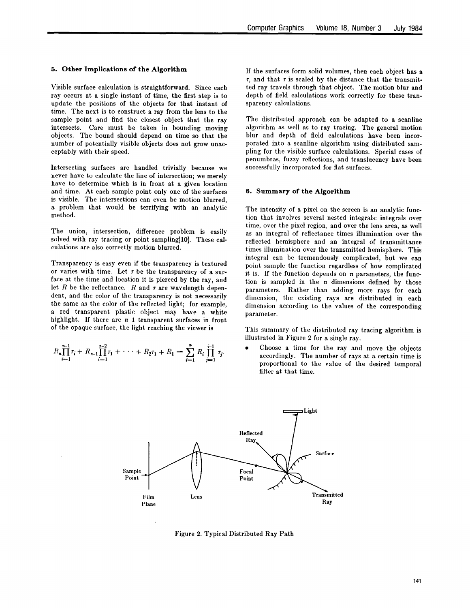#### **5. Other Implications of the Algorithm**

Visible surface calculation is straightforward. Since each ray occurs at a single instant of time, the first step is to update the positions of the objects for that instant of time. The next is to construct a ray from the lens **to the**  sample point and find the closest object that the ray intersects. Care must be taken in bounding moving objects. The bound should depend on time so that **the**  number of potentially visible objects does not grow unacceptably with their speed.

Intersecting surfaces are handled trivially because we never have to calculate the line of intersection; we merely have to determine which is in front at a given location and time. At each sample point only one of the surfaces is visible. The intersections can even be motion blurred, a problem that would be terrifying with an analytic method.

The union, intersection, difference problem is easily solved with ray tracing or point sampling[10]. These calculations are also correctly motion blurred.

Transparency is easy even if the transparency is textured or varies with time. Let  $\tau$  be the transparency of a surface at the time and location it is pierced by the ray, and let  $R$  be the reflectance.  $R$  and  $\tau$  are wavelength dependent, and the color of the transparency is not necessarily the same as the color of the reflected light; for example, a red transparent plastic object may have a white highlight. If there are n-I transparent surfaces in front of the opaque surface, the light reaching the viewer is

$$
R_{n} \prod_{i=1}^{n-1} \tau_{i} + R_{n-1} \prod_{i=1}^{n-2} \tau_{1} + \cdots + R_{2} \tau_{1} + R_{1} = \sum_{i=1}^{n} R_{i} \prod_{j=1}^{i-1} \tau_{j}.
$$

If the surfaces form solid volumes, then each object has a  $\tau$ , and that  $\tau$  is scaled by the distance that the transmitted ray travels through that object. The motion blur and depth of field calculations work correctly for these transparency calculations.

The distributed approach can be adapted to a scanline algorithm as well as to ray tracing. The general motion blur and depth of field calculations have been incorporated into a scanline algorithm using distributed sampling for the visible surface calculations. Special cases of penumbras, fuzzy reflections, and translucency have been successfully incorporated for fiat surfaces.

#### **6. Summary of the Algorithm**

The intensity of a pixel on the screen is an analytic function that involves several nested integrals: integrals over time, over the pixet region, and over the lens area, as well as an integral of reflectance times illumination over the reflected hemisphere and an integral of transmittance times illumination over the transmitted hemisphere. This integral can be tremendously complicated, but we can point sample the function regardless of how complicated it is. If the function depends on n parameters, the function is sampled in the  $n$  dimensions defined by those parameters. Rather than adding more rays for each dimension, the existing rays are distributed in each dimension according to the values of the corresponding parameter.

This summary of the distributed ray tracing algorithm is illustrated in Figure 2 for a single ray.

• Choose a time for the ray and move the objects accordingly. The number of rays at a certain time is proportional to the value of the desired temporal filter at that time.



Figure 2. Typical Distributed Ray Path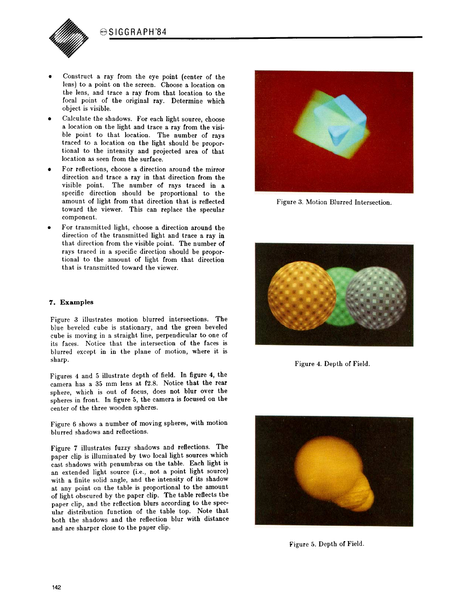



- Construct a ray from the eye point (center of the lens) to a point on the screen. Choose a location on the lens, and trace a ray from that location to the focal point of the original ray. Determine which object is visible.
- Calculate the shadows. For each light source, choose a location on the light and trace a ray from the visible point to that location. The number of rays traced to a location on the light should be proportional to the intensity and projected area of that location as seen from the surface.
- For reflections, choose a direction around the mirror direction and trace a ray in that direction from the visible point. The number of rays traced in a specific direction should be proportional to the amount of light from that direction that is reflected toward the viewer. This can replace the specular component.
- For transmitted light, choose a direction around the direction of the transmitted light and trace a ray in that direction from the visible point. The number of rays traced in a specific direction should be proportional to the amount of light from that direction that is transmitted toward the viewer.

Figure 3. Motion Blurred Intersection.



Figure 4. Depth of Field.



Figure 5. Depth of Field.

# **7. Examples**

Figure 3 illustrates motion blurred intersections. The blue beveled cube is stationary, and the green beveled cube is moving in a straight line, perpendicular to one of its faces. Notice that the intersection of the faces is blurred except in in the plane of motion, where it is sharp.

Figures 4 and 5 illustrate depth of field. In figure 4, the camera has a 35 mm lens at f2.8. Notice that the rear sphere, which is out of focus, does not blur over the spheres in front. In figure 5, the camera is focused on the center of the three wooden spheres.

Figure 6 shows a number of moving spheres, with motion blurred shadows and reflections.

Figure 7 illustrates fuzzy shadows and reflections. The paper clip is illuminated by two local light sources which cast shadows with penumbras on the table. Each light is an extended light source (i.e., not a point light source) with a finite solid angle, and the intensity of its shadow at any point on the table is proportional to the amount of light obscured by the paper clip. The table reflects the paper clip, and the reflection blurs according to the specular distribution function of the table top. Note that both the shadows and the reflection blur with distance and are sharper close to the paper clip.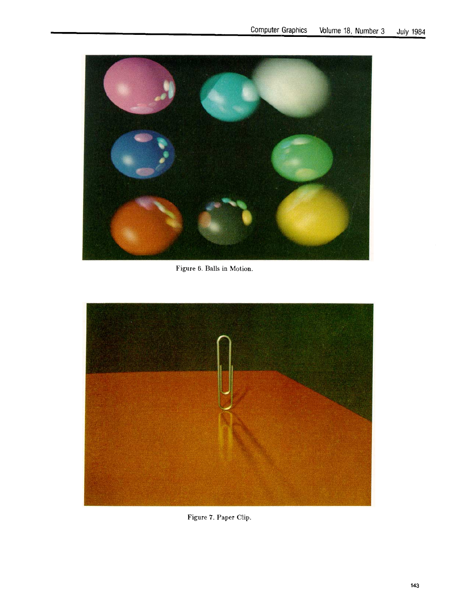

Figure 6. Balls in Motion.



Figure 7. Paper Clip.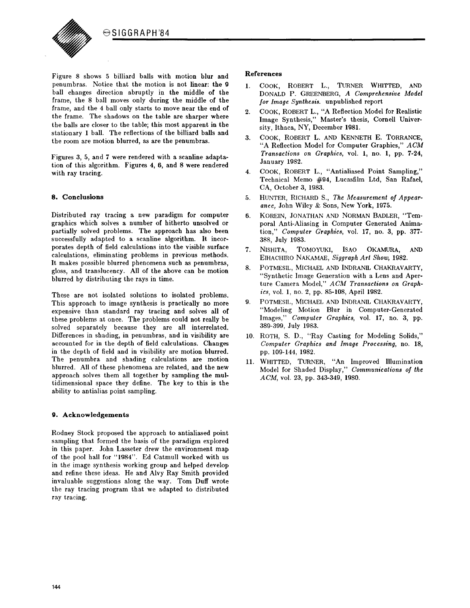



Figure 8 shows 5 billiard balls with motion blur and penumbras. Notice that the motion is not linear: the 9 ball changes direction abruptly in the middle of the frame, the 8 ball moves only during the middle of the frame, and the 4 ball only starts to move near the end of the frame. The shadows on the table are sharper where the balls are closer to the table; this most apparent in the stationary 1 ball. The reflections of the billiard balls and the room are motion blurred, as are the penumbras.

Figures 3, 5, and 7 were rendered with a scanline adaptation of this algorithm. Figures 4, 6, and 8 were rendered with ray tracing.

### **8. Conclusions**

Distributed ray tracing a new paradigm for computer graphics which solves a number of hitherto unsolved or partially solved problems. The approach has also been successfully adapted to a scanline algorithm. It incorporates depth of field calculations into the visible surface calculations, eliminating problems in previous methods. It makes possible blurred phenomena such as penumbras, gloss, and translucency. All of the above can be motion blurred by distributing the rays in time.

These are not isolated solutions to isolated problems. This approach to image synthesis is practically no more expensive than standard ray tracing and solves all of these problems at once. The problems could not really be solved separately because they are all interrelated. Differences in shading, in penumbras, and in visibility are accounted for in the depth of field calculations. Changes in the depth of field and in visibility are motion blurred. The penumbra and shading calculations are motion blurred. All of these phenomena are related, and the new approach solves them all together by sampling the multidimensional space they define. The key to this is the ability to antialias point sampling.

#### 9. **Acknowledgements**

Rodney Stock proposed the approach to antialiased point sampling that formed the basis of the paradigm explored in this paper. John Lasseter drew the environment map of the pool hall for "1984". Ed Catmull worked with us in the image synthesis working group and helped develop and refine these ideas. He and Alvy Ray Smith provided invaluable suggestions along the way. Tom Duff wrote the ray tracing program that we adapted to distributed ray tracing.

#### **References**

- 1. COOK, ROBERT L., TURNER WHITTED, AND DONALD P. GREENBERG, *A Comprehensive Model for Image Synthesis.* unpublished report
- 2. COOK, ROBERT L., "A Reflection Model for Realistic Image Synthesis," Master's thesis, Cornell University, Ithaca, NY, December 1981.
- 3. COOK, ROBERT L. AND KENNETH E. TORRANCE, "A Reflection Model for Computer Graphics," *ACM Transactions on Graphics,* vol. 1, no. 1, pp. 7-24, January 1982.
- 4. COOK, ROBERT L., "Antialiased Point Sampling," Technical Memo #94, Lucasfilm Ltd, San Rafael, CA, October 3, 1983.
- 5. HUNTER, RICHARD S., *The Measurement of Appearance,* John Wiley & Sons, New York, 1975.
- 6. KOREIN, JONATHAN AND NORMAN BADLER, "Temporal Anti-Aliasing in Computer Generated Animation," *Computer Graphics,* vol. 17, no. 3, pp. 377- 388, July 1983.
- 7. NISHITA, TOMOYUKI, ISAO OKAMURA, AND EIHACHIRO NAKAMAE, *Siggraph Art Show,* 1982.
- 8. POTMESIL, MICHAEL AND INDRANIL CHAKRAVARTY, "Synthetic Image Generation with a Lens and Aperture Camera Model," *ACM Transactions on Graphics,* vol. 1, no. 2, pp. 85-108, April 1982.
- 9. POTMESIL, MICHAEL AND INDRANIL CHAKRAVARTY, "Modeling Motion Blur in Computer-Generated Images," *Computer Graphics,* vol. 17, no. 3, pp. 389-399, July 1983.
- 10. ROTH, S. D., "Ray Casting for Modeling Solids," *Computer Graphics and Image Processing,* no. 18, pp. 109-144, 1982.
- 11. WHITTED, TURNER, "An Improved Illumination Model for Shaded Display," *Communications of the ACM,* vol. 23, pp. 343-349, 1980.